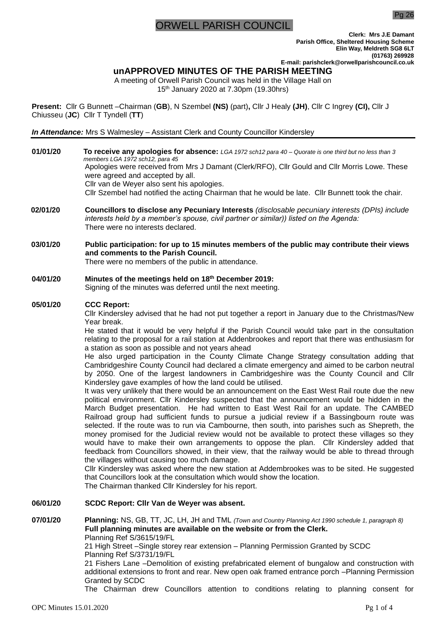# RWELL PARISH COUNCIL

Pg 26

**Clerk: Mrs J.E Damant Parish Office, Sheltered Housing Scheme Elin Way, Meldreth SG8 6LT (01763) 269928 E-mail: parishclerk@orwellparishcouncil.co.uk**

### **unAPPROVED MINUTES OF THE PARISH MEETING**

A meeting of Orwell Parish Council was held in the Village Hall on 15th January 2020 at 7.30pm (19.30hrs)

**Present:** Cllr G Bunnett –Chairman (**GB**), N Szembel **(NS)** (part)**,** Cllr J Healy **(JH)**, Cllr C Ingrey **(CI),** Cllr J Chiusseu (**JC**) Cllr T Tyndell (**TT**)

*In Attendance:* Mrs S Walmesley – Assistant Clerk and County Councillor Kindersley

- **01/01/20 To receive any apologies for absence:** *LGA 1972 sch12 para 40 – Quorate is one third but no less than 3 members LGA 1972 sch12, para 45* Apologies were received from Mrs J Damant (Clerk/RFO), Cllr Gould and Cllr Morris Lowe. These were agreed and accepted by all. Cllr van de Weyer also sent his apologies. Cllr Szembel had notified the acting Chairman that he would be late. Cllr Bunnett took the chair.
- **02/01/20 Councillors to disclose any Pecuniary Interests** *(disclosable pecuniary interests (DPIs) include interests held by a member's spouse, civil partner or similar)) listed on the Agenda:* There were no interests declared.
- **03/01/20 Public participation: for up to 15 minutes members of the public may contribute their views and comments to the Parish Council.**

There were no members of the public in attendance.

**04/01/20 Minutes of the meetings held on 18th December 2019:**

Signing of the minutes was deferred until the next meeting.

### **05/01/20 CCC Report:**

Cllr Kindersley advised that he had not put together a report in January due to the Christmas/New Year break.

He stated that it would be very helpful if the Parish Council would take part in the consultation relating to the proposal for a rail station at Addenbrookes and report that there was enthusiasm for a station as soon as possible and not years ahead

He also urged participation in the County Climate Change Strategy consultation adding that Cambridgeshire County Council had declared a climate emergency and aimed to be carbon neutral by 2050. One of the largest landowners in Cambridgeshire was the County Council and Cllr Kindersley gave examples of how the land could be utilised.

It was very unlikely that there would be an announcement on the East West Rail route due the new political environment. Cllr Kindersley suspected that the announcement would be hidden in the March Budget presentation. He had written to East West Rail for an update. The CAMBED Railroad group had sufficient funds to pursue a judicial review if a Bassingbourn route was selected. If the route was to run via Cambourne, then south, into parishes such as Shepreth, the money promised for the Judicial review would not be available to protect these villages so they would have to make their own arrangements to oppose the plan. Cllr Kindersley added that feedback from Councillors showed, in their view, that the railway would be able to thread through the villages without causing too much damage.

Cllr Kindersley was asked where the new station at Addembrookes was to be sited. He suggested that Councillors look at the consultation which would show the location.

The Chairman thanked Cllr Kindersley for his report.

### **06/01/20 SCDC Report: Cllr Van de Weyer was absent.**

**07/01/20 Planning:** NS, GB, TT, JC, LH, JH and TML *(Town and Country Planning Act 1990 schedule 1, paragraph 8)* **Full planning minutes are available on the website or from the Clerk.**  Planning Ref S/3615/19/FL

21 High Street –Single storey rear extension – Planning Permission Granted by SCDC Planning Ref S/3731/19/FL

21 Fishers Lane –Demolition of existing prefabricated element of bungalow and construction with additional extensions to front and rear. New open oak framed entrance porch –Planning Permission Granted by SCDC

The Chairman drew Councillors attention to conditions relating to planning consent for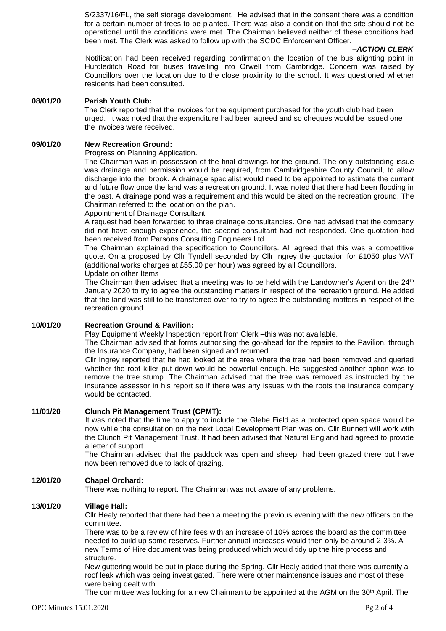S/2337/16/FL, the self storage development. He advised that in the consent there was a condition for a certain number of trees to be planted. There was also a condition that the site should not be operational until the conditions were met. The Chairman believed neither of these conditions had been met. The Clerk was asked to follow up with the SCDC Enforcement Officer.

#### *–ACTION CLERK*

Notification had been received regarding confirmation the location of the bus alighting point in Hurdleditch Road for buses travelling into Orwell from Cambridge. Concern was raised by Councillors over the location due to the close proximity to the school. It was questioned whether residents had been consulted.

#### **08/01/20 Parish Youth Club:**

The Clerk reported that the invoices for the equipment purchased for the youth club had been urged. It was noted that the expenditure had been agreed and so cheques would be issued one the invoices were received.

#### **09/01/20 New Recreation Ground:**

Progress on Planning Application.

The Chairman was in possession of the final drawings for the ground. The only outstanding issue was drainage and permission would be required, from Cambridgeshire County Council, to allow discharge into the brook. A drainage specialist would need to be appointed to estimate the current and future flow once the land was a recreation ground. It was noted that there had been flooding in the past. A drainage pond was a requirement and this would be sited on the recreation ground. The Chairman referred to the location on the plan.

Appointment of Drainage Consultant

A request had been forwarded to three drainage consultancies. One had advised that the company did not have enough experience, the second consultant had not responded. One quotation had been received from Parsons Consulting Engineers Ltd.

The Chairman explained the specification to Councillors. All agreed that this was a competitive quote. On a proposed by Cllr Tyndell seconded by Cllr Ingrey the quotation for £1050 plus VAT (additional works charges at £55.00 per hour) was agreed by all Councillors. Update on other Items

The Chairman then advised that a meeting was to be held with the Landowner's Agent on the  $24<sup>th</sup>$ January 2020 to try to agree the outstanding matters in respect of the recreation ground. He added that the land was still to be transferred over to try to agree the outstanding matters in respect of the recreation ground

### **10/01/20 Recreation Ground & Pavilion:**

Play Equipment Weekly Inspection report from Clerk –this was not available.

The Chairman advised that forms authorising the go-ahead for the repairs to the Pavilion, through the Insurance Company, had been signed and returned.

Cllr Ingrey reported that he had looked at the area where the tree had been removed and queried whether the root killer put down would be powerful enough. He suggested another option was to remove the tree stump. The Chairman advised that the tree was removed as instructed by the insurance assessor in his report so if there was any issues with the roots the insurance company would be contacted.

### **11/01/20 Clunch Pit Management Trust (CPMT):**

It was noted that the time to apply to include the Glebe Field as a protected open space would be now while the consultation on the next Local Development Plan was on. Cllr Bunnett will work with the Clunch Pit Management Trust. It had been advised that Natural England had agreed to provide a letter of support.

The Chairman advised that the paddock was open and sheep had been grazed there but have now been removed due to lack of grazing.

### **12/01/20 Chapel Orchard:**

There was nothing to report. The Chairman was not aware of any problems.

#### **13/01/20 Village Hall:**

Cllr Healy reported that there had been a meeting the previous evening with the new officers on the committee.

There was to be a review of hire fees with an increase of 10% across the board as the committee needed to build up some reserves. Further annual increases would then only be around 2-3%. A new Terms of Hire document was being produced which would tidy up the hire process and structure.

New guttering would be put in place during the Spring. Cllr Healy added that there was currently a roof leak which was being investigated. There were other maintenance issues and most of these were being dealt with.

The committee was looking for a new Chairman to be appointed at the AGM on the  $30<sup>th</sup>$  April. The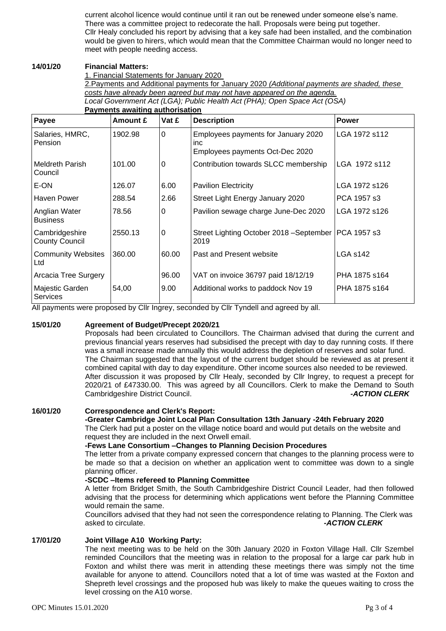current alcohol licence would continue until it ran out be renewed under someone else's name. There was a committee project to redecorate the hall. Proposals were being put together. Cllr Healy concluded his report by advising that a key safe had been installed, and the combination would be given to hirers, which would mean that the Committee Chairman would no longer need to meet with people needing access.

#### **14/01/20 Financial Matters:**

1. Financial Statements for January 2020

2.Payments and Additional payments for January 2020 *(Additional payments are shaded, these costs have already been agreed but may not have appeared on the agenda.*

*Local Government Act (LGA); Public Health Act (PHA); Open Space Act (OSA)* **Payments awaiting authorisation**

| Payee                                   | Amount £ | Vat £    | <b>Description</b>                                                                   | Power           |
|-----------------------------------------|----------|----------|--------------------------------------------------------------------------------------|-----------------|
| Salaries, HMRC,<br>Pension              | 1902.98  | $\Omega$ | Employees payments for January 2020<br><i>inc</i><br>Employees payments Oct-Dec 2020 | LGA 1972 s112   |
| <b>Meldreth Parish</b><br>Council       | 101.00   | 0        | Contribution towards SLCC membership                                                 | LGA 1972 s112   |
| E-ON                                    | 126.07   | 6.00     | <b>Pavilion Electricity</b>                                                          | LGA 1972 s126   |
| Haven Power                             | 288.54   | 2.66     | Street Light Energy January 2020                                                     | PCA 1957 s3     |
| Anglian Water<br><b>Business</b>        | 78.56    | 0        | Pavilion sewage charge June-Dec 2020                                                 | LGA 1972 s126   |
| Cambridgeshire<br><b>County Council</b> | 2550.13  | 0        | Street Lighting October 2018 - September<br>2019                                     | PCA 1957 s3     |
| <b>Community Websites</b><br>Ltd        | 360.00   | 60.00    | Past and Present website                                                             | <b>LGA s142</b> |
| Arcacia Tree Surgery                    |          | 96.00    | VAT on invoice 36797 paid 18/12/19                                                   | PHA 1875 s164   |
| Majestic Garden<br><b>Services</b>      | 54,00    | 9.00     | Additional works to paddock Nov 19                                                   | PHA 1875 s164   |

All payments were proposed by Cllr Ingrey, seconded by Cllr Tyndell and agreed by all.

### **15/01/20 Agreement of Budget/Precept 2020/21**

Proposals had been circulated to Councillors. The Chairman advised that during the current and previous financial years reserves had subsidised the precept with day to day running costs. If there was a small increase made annually this would address the depletion of reserves and solar fund. The Chairman suggested that the layout of the current budget should be reviewed as at present it combined capital with day to day expenditure. Other income sources also needed to be reviewed. After discussion it was proposed by Cllr Healy, seconded by Cllr Ingrey, to request a precept for 2020/21 of £47330.00. This was agreed by all Councillors. Clerk to make the Demand to South Cambridgeshire District Council. *-ACTION CLERK*

## **16/01/20 Correspondence and Clerk's Report:**

**-Greater Cambridge Joint Local Plan Consultation 13th January -24th February 2020** The Clerk had put a poster on the village notice board and would put details on the website and request they are included in the next Orwell email.

### **-Fews Lane Consortium –Changes to Planning Decision Procedures**

The letter from a private company expressed concern that changes to the planning process were to be made so that a decision on whether an application went to committee was down to a single planning officer.

### **-SCDC –Items refereed to Planning Committee**

A letter from Bridget Smith, the South Cambridgeshire District Council Leader, had then followed advising that the process for determining which applications went before the Planning Committee would remain the same.

Councillors advised that they had not seen the correspondence relating to Planning. The Clerk was asked to circulate. *asked to circulate*  $-ACTION CLERK$ 

### **17/01/20 Joint Village A10 Working Party:**

The next meeting was to be held on the 30th January 2020 in Foxton Village Hall. Cllr Szembel reminded Councillors that the meeting was in relation to the proposal for a large car park hub in Foxton and whilst there was merit in attending these meetings there was simply not the time available for anyone to attend. Councillors noted that a lot of time was wasted at the Foxton and Shepreth level crossings and the proposed hub was likely to make the queues waiting to cross the level crossing on the A10 worse.